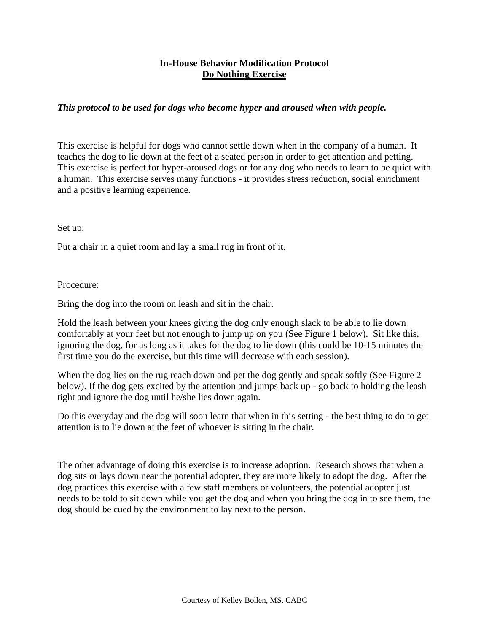## **In-House Behavior Modification Protocol Do Nothing Exercise**

## *This protocol to be used for dogs who become hyper and aroused when with people.*

This exercise is helpful for dogs who cannot settle down when in the company of a human. It teaches the dog to lie down at the feet of a seated person in order to get attention and petting. This exercise is perfect for hyper-aroused dogs or for any dog who needs to learn to be quiet with a human. This exercise serves many functions - it provides stress reduction, social enrichment and a positive learning experience.

## Set up:

Put a chair in a quiet room and lay a small rug in front of it.

## Procedure:

Bring the dog into the room on leash and sit in the chair.

Hold the leash between your knees giving the dog only enough slack to be able to lie down comfortably at your feet but not enough to jump up on you (See Figure 1 below). Sit like this, ignoring the dog, for as long as it takes for the dog to lie down (this could be 10-15 minutes the first time you do the exercise, but this time will decrease with each session).

When the dog lies on the rug reach down and pet the dog gently and speak softly (See Figure 2) below). If the dog gets excited by the attention and jumps back up - go back to holding the leash tight and ignore the dog until he/she lies down again.

Do this everyday and the dog will soon learn that when in this setting - the best thing to do to get attention is to lie down at the feet of whoever is sitting in the chair.

The other advantage of doing this exercise is to increase adoption. Research shows that when a dog sits or lays down near the potential adopter, they are more likely to adopt the dog. After the dog practices this exercise with a few staff members or volunteers, the potential adopter just needs to be told to sit down while you get the dog and when you bring the dog in to see them, the dog should be cued by the environment to lay next to the person.